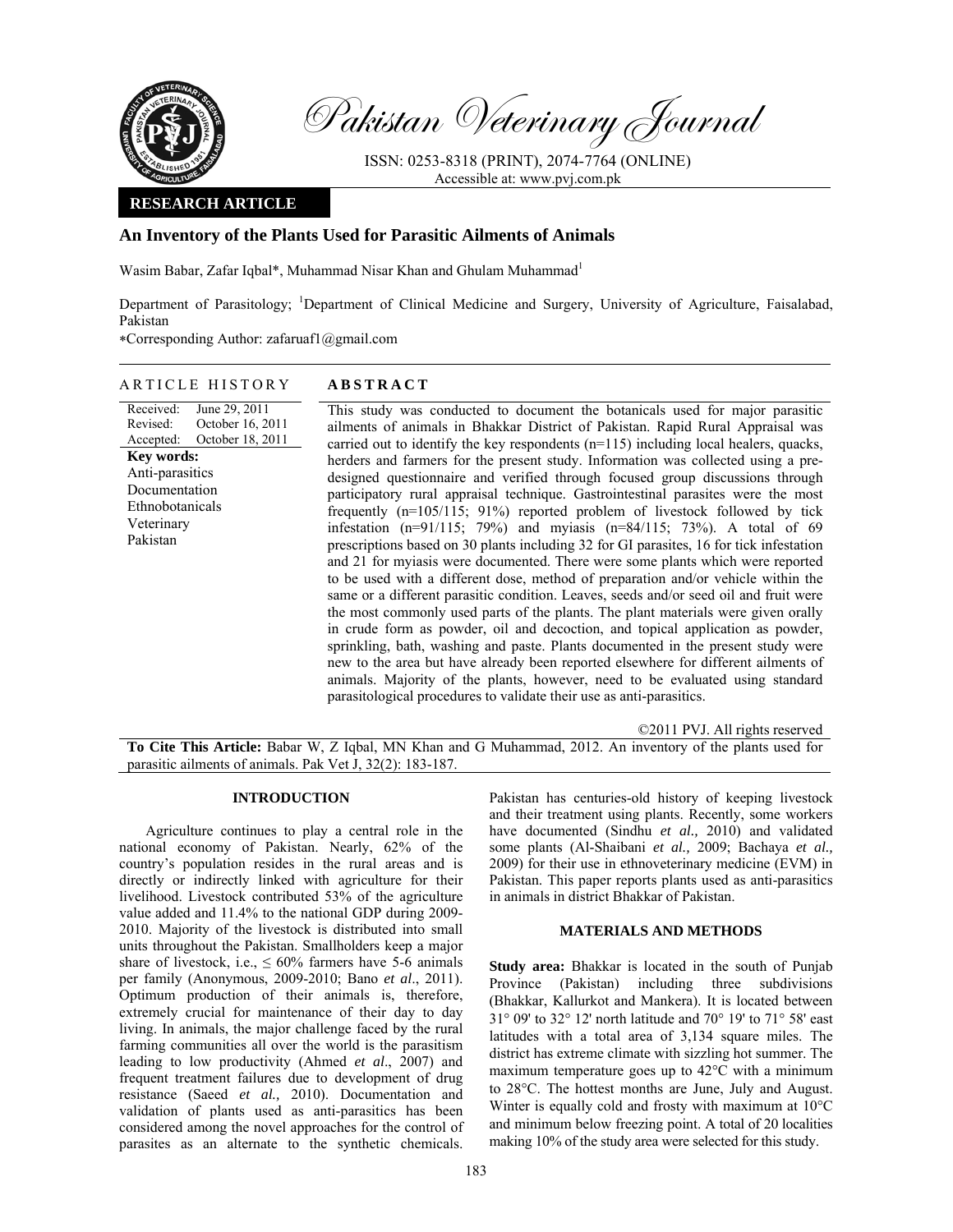

Pakistan Veterinary Journal

ISSN: 0253-8318 (PRINT), 2074-7764 (ONLINE) Accessible at: www.pvj.com.pk

### **RESEARCH ARTICLE**

# **An Inventory of the Plants Used for Parasitic Ailments of Animals**

Wasim Babar, Zafar Iqbal\*, Muhammad Nisar Khan and Ghulam Muhammad<sup>1</sup>

Department of Parasitology; <sup>1</sup>Department of Clinical Medicine and Surgery, University of Agriculture, Faisalabad, Pakistan

∗Corresponding Author: zafaruaf1@gmail.com

## ARTICLE HISTORY **ABSTRACT**

Received: Revised: Accepted: June 29, 2011 October 16, 2011 October 18, 2011 **Key words:**  Anti-parasitics Documentation Ethnobotanicals Veterinary Pakistan

This study was conducted to document the botanicals used for major parasitic ailments of animals in Bhakkar District of Pakistan. Rapid Rural Appraisal was carried out to identify the key respondents (n=115) including local healers, quacks, herders and farmers for the present study. Information was collected using a predesigned questionnaire and verified through focused group discussions through participatory rural appraisal technique. Gastrointestinal parasites were the most frequently (n=105/115; 91%) reported problem of livestock followed by tick infestation (n=91/115; 79%) and myiasis (n=84/115; 73%). A total of 69 prescriptions based on 30 plants including 32 for GI parasites, 16 for tick infestation and 21 for myiasis were documented. There were some plants which were reported to be used with a different dose, method of preparation and/or vehicle within the same or a different parasitic condition. Leaves, seeds and/or seed oil and fruit were the most commonly used parts of the plants. The plant materials were given orally in crude form as powder, oil and decoction, and topical application as powder, sprinkling, bath, washing and paste. Plants documented in the present study were new to the area but have already been reported elsewhere for different ailments of animals. Majority of the plants, however, need to be evaluated using standard parasitological procedures to validate their use as anti-parasitics.

©2011 PVJ. All rights reserved

**To Cite This Article:** Babar W, Z Iqbal, MN Khan and G Muhammad, 2012. An inventory of the plants used for parasitic ailments of animals. Pak Vet J, 32(2): 183-187.

### **INTRODUCTION**

Agriculture continues to play a central role in the national economy of Pakistan. Nearly, 62% of the country's population resides in the rural areas and is directly or indirectly linked with agriculture for their livelihood. Livestock contributed 53% of the agriculture value added and 11.4% to the national GDP during 2009- 2010. Majority of the livestock is distributed into small units throughout the Pakistan. Smallholders keep a major share of livestock, i.e.,  $\leq 60\%$  farmers have 5-6 animals per family (Anonymous, 2009-2010; Bano *et al*., 2011). Optimum production of their animals is, therefore, extremely crucial for maintenance of their day to day living. In animals, the major challenge faced by the rural farming communities all over the world is the parasitism leading to low productivity (Ahmed *et al*., 2007) and frequent treatment failures due to development of drug resistance (Saeed *et al.,* 2010). Documentation and validation of plants used as anti-parasitics has been considered among the novel approaches for the control of parasites as an alternate to the synthetic chemicals.

Pakistan has centuries-old history of keeping livestock and their treatment using plants. Recently, some workers have documented (Sindhu *et al.,* 2010) and validated some plants (Al-Shaibani *et al.,* 2009; Bachaya *et al.,* 2009) for their use in ethnoveterinary medicine (EVM) in Pakistan. This paper reports plants used as anti-parasitics in animals in district Bhakkar of Pakistan.

### **MATERIALS AND METHODS**

**Study area:** Bhakkar is located in the south of Punjab Province (Pakistan) including three subdivisions (Bhakkar, Kallurkot and Mankera). It is located between 31° 09' to 32° 12' north latitude and 70° 19' to 71° 58' east latitudes with a total area of 3,134 square miles. The district has extreme climate with sizzling hot summer. The maximum temperature goes up to 42°C with a minimum to 28°C. The hottest months are June, July and August. Winter is equally cold and frosty with maximum at 10°C and minimum below freezing point. A total of 20 localities making 10% of the study area were selected for this study.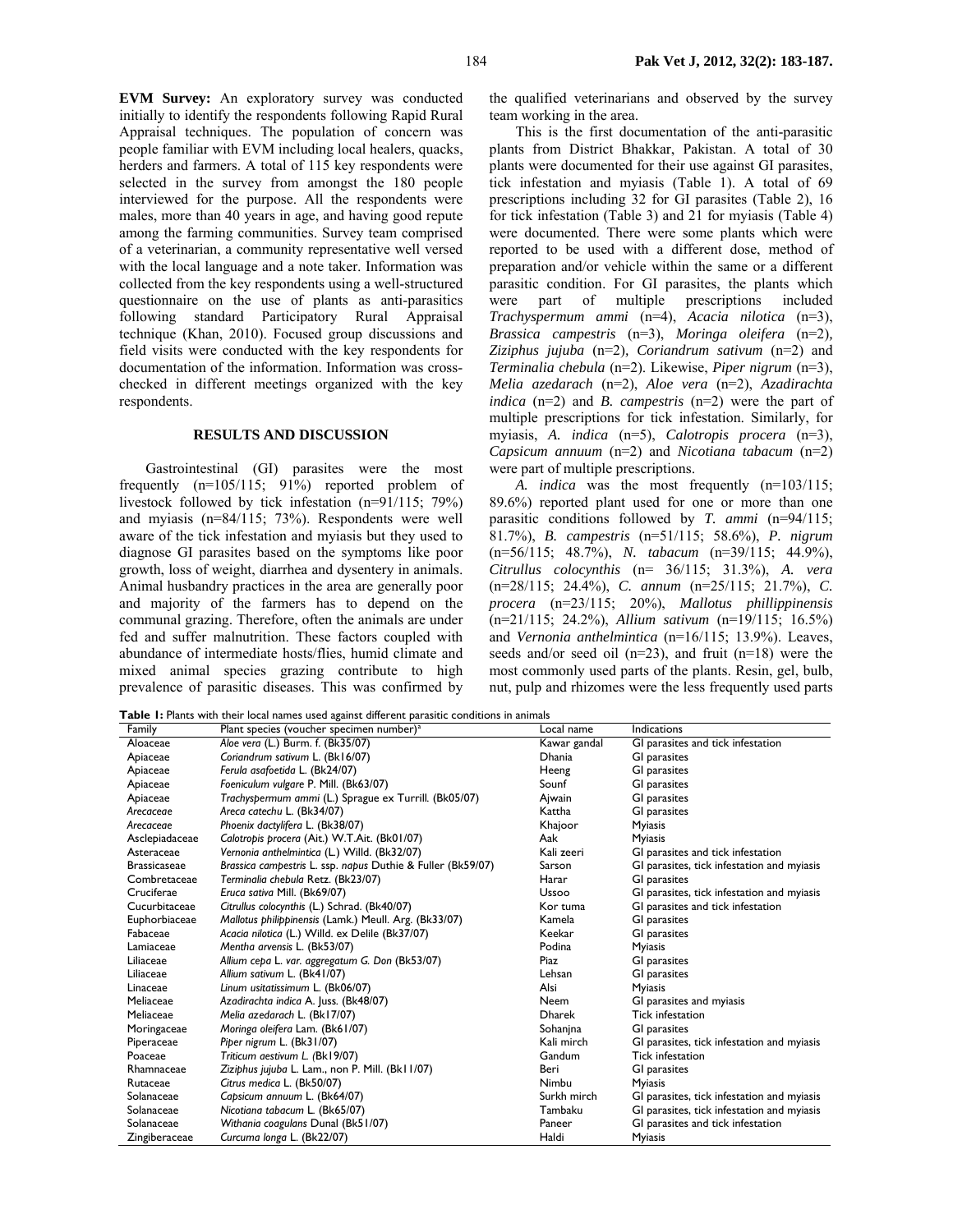**EVM Survey:** An exploratory survey was conducted initially to identify the respondents following Rapid Rural Appraisal techniques. The population of concern was people familiar with EVM including local healers, quacks, herders and farmers. A total of 115 key respondents were selected in the survey from amongst the 180 people interviewed for the purpose. All the respondents were males, more than 40 years in age, and having good repute among the farming communities. Survey team comprised of a veterinarian, a community representative well versed with the local language and a note taker. Information was collected from the key respondents using a well-structured questionnaire on the use of plants as anti-parasitics following standard Participatory Rural Appraisal technique (Khan, 2010). Focused group discussions and field visits were conducted with the key respondents for documentation of the information. Information was crosschecked in different meetings organized with the key respondents.

# **RESULTS AND DISCUSSION**

Gastrointestinal (GI) parasites were the most frequently (n=105/115; 91%) reported problem of livestock followed by tick infestation (n=91/115; 79%) and myiasis (n=84/115; 73%). Respondents were well aware of the tick infestation and myiasis but they used to diagnose GI parasites based on the symptoms like poor growth, loss of weight, diarrhea and dysentery in animals. Animal husbandry practices in the area are generally poor and majority of the farmers has to depend on the communal grazing. Therefore, often the animals are under fed and suffer malnutrition. These factors coupled with abundance of intermediate hosts/flies, humid climate and mixed animal species grazing contribute to high prevalence of parasitic diseases. This was confirmed by

the qualified veterinarians and observed by the survey team working in the area.

This is the first documentation of the anti-parasitic plants from District Bhakkar, Pakistan. A total of 30 plants were documented for their use against GI parasites, tick infestation and myiasis (Table 1). A total of 69 prescriptions including 32 for GI parasites (Table 2), 16 for tick infestation (Table 3) and 21 for myiasis (Table 4) were documented. There were some plants which were reported to be used with a different dose, method of preparation and/or vehicle within the same or a different parasitic condition. For GI parasites, the plants which were part of multiple prescriptions included *Trachyspermum ammi* (n=4), *Acacia nilotica* (n=3), *Brassica campestris* (n=3), *Moringa oleifera* (n=2)*, Ziziphus jujuba* (n=2)*, Coriandrum sativum* (n=2) and *Terminalia chebula* (n=2). Likewise, *Piper nigrum* (n=3), *Melia azedarach* (n=2), *Aloe vera* (n=2), *Azadirachta indica* (n=2) and *B. campestris* (n=2) were the part of multiple prescriptions for tick infestation. Similarly, for myiasis, *A. indica* (n=5), *Calotropis procera* (n=3), *Capsicum annuum* (n=2) and *Nicotiana tabacum* (n=2) were part of multiple prescriptions.

*A. indica* was the most frequently (n=103/115; 89.6%) reported plant used for one or more than one parasitic conditions followed by *T. ammi* (n=94/115; 81.7%), *B. campestris* (n=51/115; 58.6%), *P. nigrum* (n=56/115; 48.7%), *N. tabacum* (n=39/115; 44.9%), *Citrullus colocynthis* (n= 36/115; 31.3%), *A. vera* (n=28/115; 24.4%), *C. annum* (n=25/115; 21.7%), *C. procera* (n=23/115; 20%), *Mallotus phillippinensis* (n=21/115; 24.2%), *Allium sativum* (n=19/115; 16.5%) and *Vernonia anthelmintica* (n=16/115; 13.9%). Leaves, seeds and/or seed oil  $(n=23)$ , and fruit  $(n=18)$  were the most commonly used parts of the plants. Resin, gel, bulb, nut, pulp and rhizomes were the less frequently used parts

**Table 1:** Plants with their local names used against different parasitic conditions in animals

| Family              | Plant species (voucher specimen number) <sup>a</sup>        | Local name    | Indications                                |
|---------------------|-------------------------------------------------------------|---------------|--------------------------------------------|
| Aloaceae            | Aloe vera (L.) Burm. f. (Bk35/07)                           | Kawar gandal  | GI parasites and tick infestation          |
| Apiaceae            | Coriandrum sativum L. (Bk16/07)                             | <b>Dhania</b> | <b>GI</b> parasites                        |
| Apiaceae            | Ferula asafoetida L. (Bk24/07)                              | Heeng         | <b>GI</b> parasites                        |
| Apiaceae            | Foeniculum vulgare P. Mill. (Bk63/07)                       | Sounf         | GI parasites                               |
| Apiaceae            | Trachyspermum ammi (L.) Sprague ex Turrill. (Bk05/07)       | Ajwain        | GI parasites                               |
| Arecaceae           | Areca catechu L. (Bk34/07)                                  | Kattha        | <b>GI</b> parasites                        |
| Arecaceae           | Phoenix dactylifera L. (Bk38/07)                            | Khajoor       | <b>Myiasis</b>                             |
| Asclepiadaceae      | Calotropis procera (Ait.) W.T.Ait. (Bk01/07)                | Aak           | <b>Myiasis</b>                             |
| Asteraceae          | Vernonia anthelmintica (L.) Willd. (Bk32/07)                | Kali zeeri    | GI parasites and tick infestation          |
| <b>Brassicaseae</b> | Brassica campestris L. ssp. napus Duthie & Fuller (Bk59/07) | Sarson        | GI parasites, tick infestation and myiasis |
| Combretaceae        | Terminalia chebula Retz. (Bk23/07)                          | Harar         | <b>GI</b> parasites                        |
| Cruciferae          | Eruca sativa Mill. (Bk69/07)                                | Ussoo         | GI parasites, tick infestation and myiasis |
| Cucurbitaceae       | Citrullus colocynthis (L.) Schrad. (Bk40/07)                | Kor tuma      | GI parasites and tick infestation          |
| Euphorbiaceae       | Mallotus philippinensis (Lamk.) Meull. Arg. (Bk33/07)       | Kamela        | GI parasites                               |
| Fabaceae            | Acacia nilotica (L.) Willd. ex Delile (Bk37/07)             | Keekar        | GI parasites                               |
| Lamiaceae           | Mentha arvensis L. (Bk53/07)                                | Podina        | <b>Myiasis</b>                             |
| Liliaceae           | Allium cepa L. var. aggregatum G. Don (Bk53/07)             | Piaz          | GI parasites                               |
| Liliaceae           | Allium sativum L. (Bk41/07)                                 | Lehsan        | GI parasites                               |
| Linaceae            | Linum usitatissimum L. (Bk06/07)                            | Alsi          | <b>Myiasis</b>                             |
| Meliaceae           | Azadirachta indica A. Juss. (Bk48/07)                       | <b>Neem</b>   | GI parasites and myiasis                   |
| Meliaceae           | Melia azedarach L. (Bk17/07)                                | Dharek        | <b>Tick infestation</b>                    |
| Moringaceae         | Moringa oleifera Lam. (Bk61/07)                             | Sohanjna      | GI parasites                               |
| Piperaceae          | Piper nigrum L. (Bk31/07)                                   | Kali mirch    | GI parasites, tick infestation and myiasis |
| Poaceae             | Triticum aestivum L. (Bk19/07)                              | Gandum        | Tick infestation                           |
| Rhamnaceae          | Ziziphus jujuba L. Lam., non P. Mill. (Bk11/07)             | Beri          | GI parasites                               |
| Rutaceae            | Citrus medica L. (Bk50/07)                                  | Nimbu         | <b>Myiasis</b>                             |
| Solanaceae          | Capsicum annuum L. (Bk64/07)                                | Surkh mirch   | GI parasites, tick infestation and myiasis |
| Solanaceae          | Nicotiana tabacum L. (Bk65/07)                              | Tambaku       | GI parasites, tick infestation and myiasis |
| Solanaceae          | Withania coagulans Dunal (Bk51/07)                          | Paneer        | GI parasites and tick infestation          |
| Zingiberaceae       | Curcuma longa L. (Bk22/07)                                  | Haldi         | <b>Myiasis</b>                             |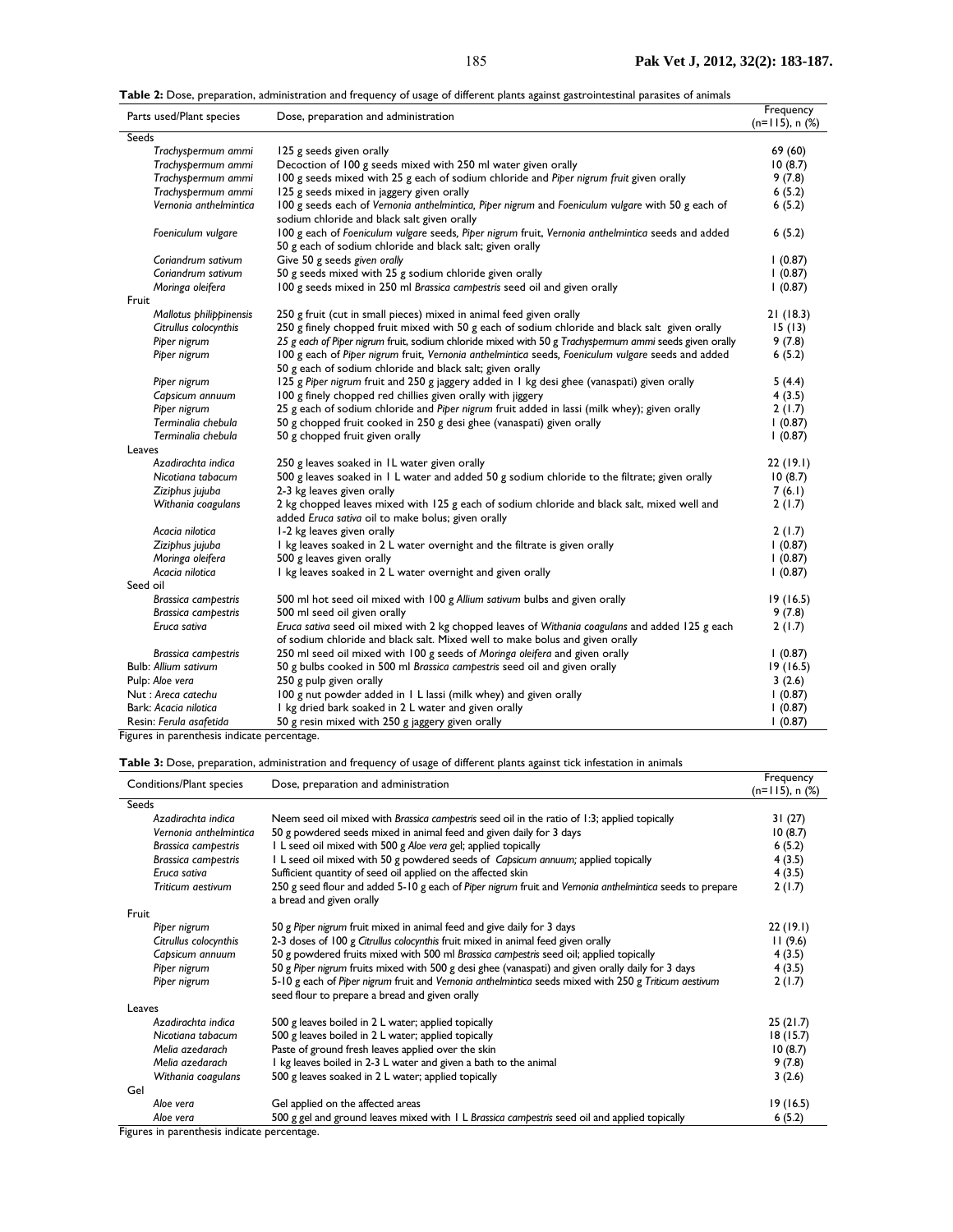**Table 2:** Dose, preparation, administration and frequency of usage of different plants against gastrointestinal parasites of animals

| Parts used/Plant species    | Dose, preparation and administration                                                                                                                            | Frequency<br>$(n=115)$ , n $(\%)$ |
|-----------------------------|-----------------------------------------------------------------------------------------------------------------------------------------------------------------|-----------------------------------|
| Seeds                       |                                                                                                                                                                 |                                   |
| Trachyspermum ammi          | 125 g seeds given orally                                                                                                                                        | 69 (60)                           |
| Trachyspermum ammi          | Decoction of 100 g seeds mixed with 250 ml water given orally                                                                                                   | 10(8.7)                           |
| Trachyspermum ammi          | 100 g seeds mixed with 25 g each of sodium chloride and Piper nigrum fruit given orally                                                                         | 9(7.8)                            |
| Trachyspermum ammi          | 125 g seeds mixed in jaggery given orally                                                                                                                       | 6(5.2)                            |
| Vernonia anthelmintica      | 100 g seeds each of Vernonia anthelmintica, Piper nigrum and Foeniculum vulgare with 50 g each of<br>sodium chloride and black salt given orally                | 6(5.2)                            |
| Foeniculum vulgare          | 100 g each of Foeniculum vulgare seeds, Piper nigrum fruit, Vernonia anthelmintica seeds and added<br>50 g each of sodium chloride and black salt; given orally | 6(5.2)                            |
| Coriandrum sativum          | Give 50 g seeds given orally                                                                                                                                    | (0.87)                            |
| Coriandrum sativum          | 50 g seeds mixed with 25 g sodium chloride given orally                                                                                                         | 1(0.87)                           |
| Moringa oleifera            | 100 g seeds mixed in 250 ml Brassica campestris seed oil and given orally                                                                                       | (0.87)                            |
| Fruit                       |                                                                                                                                                                 |                                   |
| Mallotus philippinensis     | 250 g fruit (cut in small pieces) mixed in animal feed given orally                                                                                             | 21(18.3)                          |
| Citrullus colocynthis       | 250 g finely chopped fruit mixed with 50 g each of sodium chloride and black salt given orally                                                                  | 15(13)                            |
| Piper nigrum                | 25 g each of Piper nigrum fruit, sodium chloride mixed with 50 g Trachyspermum ammi seeds given orally                                                          | 9(7.8)                            |
| Piper nigrum                | 100 g each of Piper nigrum fruit, Vernonia anthelmintica seeds, Foeniculum vulgare seeds and added<br>50 g each of sodium chloride and black salt; given orally | 6(5.2)                            |
| Piper nigrum                | 125 g Piper nigrum fruit and 250 g jaggery added in 1 kg desi ghee (vanaspati) given orally                                                                     | 5(4.4)                            |
| Capsicum annuum             | 100 g finely chopped red chillies given orally with jiggery                                                                                                     | 4(3.5)                            |
| Piper nigrum                | 25 g each of sodium chloride and Piper nigrum fruit added in lassi (milk whey); given orally                                                                    | 2(1.7)                            |
| Terminalia chebula          | 50 g chopped fruit cooked in 250 g desi ghee (vanaspati) given orally                                                                                           | 1(0.87)                           |
| Terminalia chebula          | 50 g chopped fruit given orally                                                                                                                                 | (0.87)                            |
| Leaves                      |                                                                                                                                                                 |                                   |
| Azadirachta indica          | 250 g leaves soaked in IL water given orally                                                                                                                    | 22(19.1)                          |
| Nicotiana tabacum           | 500 g leaves soaked in 1 L water and added 50 g sodium chloride to the filtrate; given orally                                                                   | 10(8.7)                           |
| Ziziphus jujuba             | 2-3 kg leaves given orally                                                                                                                                      | 7(6.1)                            |
| Withania coagulans          | 2 kg chopped leaves mixed with 125 g each of sodium chloride and black salt, mixed well and<br>added Eruca sativa oil to make bolus; given orally               | 2(1.7)                            |
| Acacia nilotica             | 1-2 kg leaves given orally                                                                                                                                      | 2(1.7)                            |
| Ziziphus jujuba             | I kg leaves soaked in 2 L water overnight and the filtrate is given orally                                                                                      | (0.87)                            |
| Moringa oleifera            | 500 g leaves given orally                                                                                                                                       | (0.87)                            |
| Acacia nilotica             | I kg leaves soaked in 2 L water overnight and given orally                                                                                                      | (0.87)                            |
| Seed oil                    |                                                                                                                                                                 |                                   |
| <b>Brassica campestris</b>  | 500 ml hot seed oil mixed with 100 g Allium sativum bulbs and given orally                                                                                      | 19(16.5)                          |
| <b>Brassica campestris</b>  | 500 ml seed oil given orally                                                                                                                                    | 9(7.8)                            |
| Eruca sativa                | Eruca sativa seed oil mixed with 2 kg chopped leaves of Withania coagulans and added 125 g each                                                                 | 2(1.7)                            |
|                             | of sodium chloride and black salt. Mixed well to make bolus and given orally                                                                                    |                                   |
| <b>Brassica campestris</b>  | 250 ml seed oil mixed with 100 g seeds of Moringa oleifera and given orally                                                                                     | (0.87)                            |
| <b>Bulb: Allium sativum</b> | 50 g bulbs cooked in 500 ml Brassica campestris seed oil and given orally                                                                                       | 19(16.5)                          |
| Pulp: Aloe vera             | 250 g pulp given orally                                                                                                                                         | 3(2.6)                            |
| Nut: Areca catechu          | 100 g nut powder added in 1 L lassi (milk whey) and given orally                                                                                                | 1(0.87)                           |
| Bark: Acacia nilotica       | I kg dried bark soaked in 2 L water and given orally                                                                                                            | (0.87)                            |
| Resin: Ferula asafetida     | 50 g resin mixed with 250 g jaggery given orally                                                                                                                | 1(0.87)                           |

Figures in parenthesis indicate percentage.

### **Table 3:** Dose, preparation, administration and frequency of usage of different plants against tick infestation in animals

| Conditions/Plant species   | Dose, preparation and administration                                                                                                                    |          |
|----------------------------|---------------------------------------------------------------------------------------------------------------------------------------------------------|----------|
| <b>Seeds</b>               |                                                                                                                                                         |          |
| Azadirachta indica         | Neem seed oil mixed with Brassica campestris seed oil in the ratio of 1:3; applied topically                                                            | 31 (27)  |
| Vernonia anthelmintica     | 50 g powdered seeds mixed in animal feed and given daily for 3 days                                                                                     | 10(8.7)  |
| <b>Brassica campestris</b> | I L seed oil mixed with 500 g Aloe vera gel; applied topically                                                                                          | 6(5.2)   |
| <b>Brassica campestris</b> | I L seed oil mixed with 50 g powdered seeds of Capsicum annuum; applied topically                                                                       | 4(3.5)   |
| Eruca sativa               | Sufficient quantity of seed oil applied on the affected skin                                                                                            | 4(3.5)   |
| Triticum aestivum          | 250 g seed flour and added 5-10 g each of Piper nigrum fruit and Vernonia anthelmintica seeds to prepare<br>a bread and given orally                    | 2(1.7)   |
| Fruit                      |                                                                                                                                                         |          |
| Piper nigrum               | 50 g Piper nigrum fruit mixed in animal feed and give daily for 3 days                                                                                  | 22(19.1) |
| Citrullus colocynthis      | 2-3 doses of 100 g Citrullus colocynthis fruit mixed in animal feed given orally                                                                        | 11(9.6)  |
| Capsicum annuum            | 50 g powdered fruits mixed with 500 ml Brassica campestris seed oil; applied topically                                                                  | 4(3.5)   |
| Piper nigrum               | 50 g Piper nigrum fruits mixed with 500 g desi ghee (vanaspati) and given orally daily for 3 days                                                       | 4(3.5)   |
| Piper nigrum               | 5-10 g each of Piper nigrum fruit and Vernonia anthelmintica seeds mixed with 250 g Triticum aestivum<br>seed flour to prepare a bread and given orally | 2(1.7)   |
| Leaves                     |                                                                                                                                                         |          |
| Azadirachta indica         | 500 g leaves boiled in 2 L water; applied topically                                                                                                     | 25(21.7) |
| Nicotiana tabacum          | 500 g leaves boiled in 2 L water; applied topically                                                                                                     | 18(15.7) |
| Melia azedarach            | Paste of ground fresh leaves applied over the skin                                                                                                      | 10(8.7)  |
| Melia azedarach            | I kg leaves boiled in 2-3 L water and given a bath to the animal                                                                                        | 9(7.8)   |
| Withania coagulans         | 500 g leaves soaked in 2 L water; applied topically                                                                                                     | 3(2.6)   |
| Gel                        |                                                                                                                                                         |          |
| Aloe vera                  | Gel applied on the affected areas                                                                                                                       | 19(16.5) |
| Aloe vera                  | 500 g gel and ground leaves mixed with 1 L Brassica campestris seed oil and applied topically                                                           | 6(5.2)   |

Figures in parenthesis indicate percentage.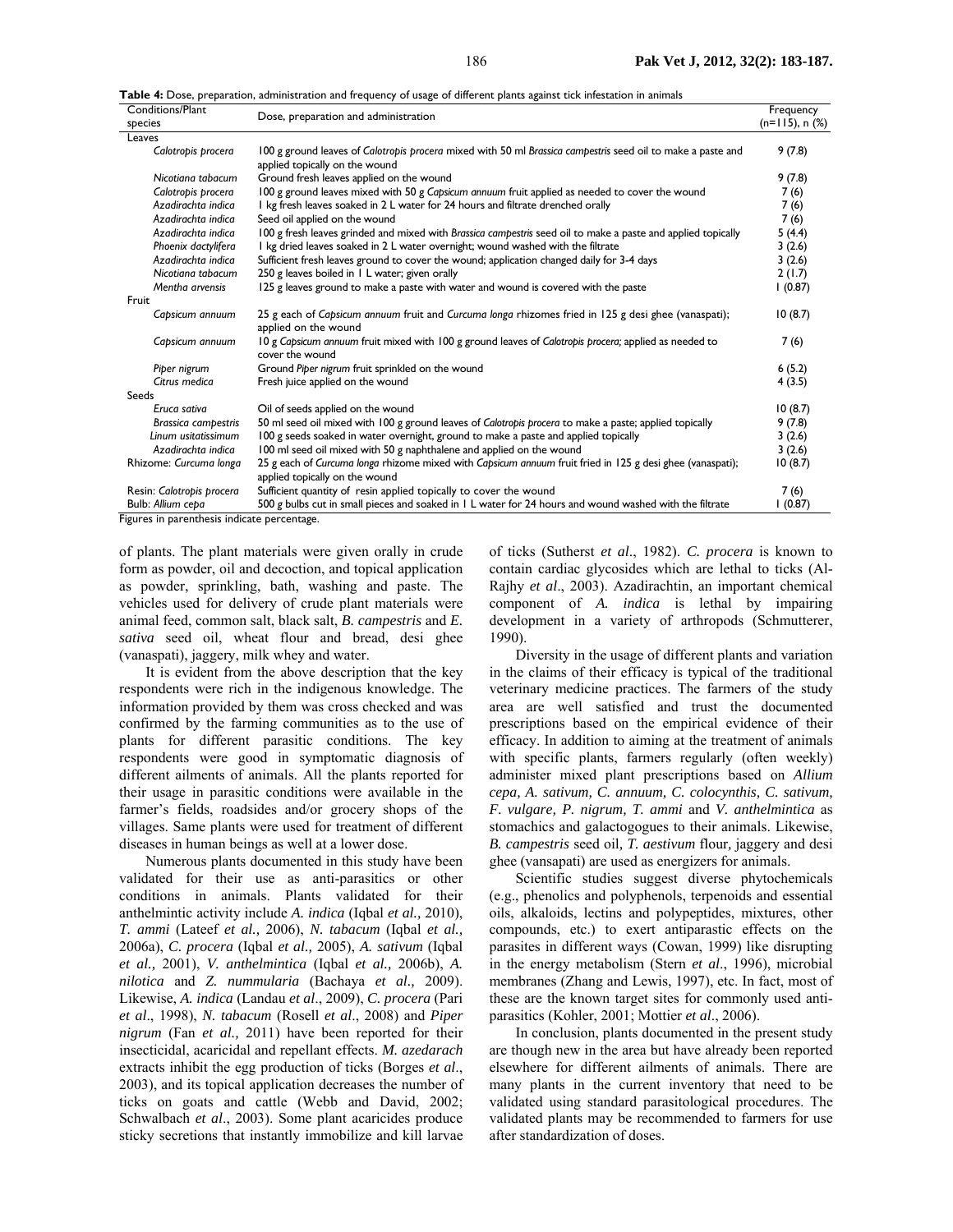| Table 4: Dose, preparation, administration and frequency of usage of different plants against tick infestation in animals |  |
|---------------------------------------------------------------------------------------------------------------------------|--|
|---------------------------------------------------------------------------------------------------------------------------|--|

| Conditions/Plant<br>Dose, preparation and administration |                                                                                                                                               | Frequency            |  |  |
|----------------------------------------------------------|-----------------------------------------------------------------------------------------------------------------------------------------------|----------------------|--|--|
| species                                                  |                                                                                                                                               | $(n=115)$ , n $(\%)$ |  |  |
| Leaves                                                   |                                                                                                                                               |                      |  |  |
| Calotropis procera                                       | 100 g ground leaves of Calotropis procera mixed with 50 ml Brassica campestris seed oil to make a paste and<br>applied topically on the wound | 9(7.8)               |  |  |
| Nicotiana tabacum                                        | Ground fresh leaves applied on the wound                                                                                                      | 9(7.8)               |  |  |
| Calotropis procera                                       | 100 g ground leaves mixed with 50 g Capsicum annuum fruit applied as needed to cover the wound                                                | 7 (6)                |  |  |
| Azadirachta indica                                       | I kg fresh leaves soaked in 2 L water for 24 hours and filtrate drenched orally                                                               | 7 (6)                |  |  |
| Azadirachta indica                                       | Seed oil applied on the wound                                                                                                                 | 7(6)                 |  |  |
| Azadirachta indica                                       | 100 g fresh leaves grinded and mixed with Brassica campestris seed oil to make a paste and applied topically                                  | 5 (4.4)              |  |  |
| Phoenix dactylifera                                      | I kg dried leaves soaked in 2 L water overnight; wound washed with the filtrate                                                               | 3(2.6)               |  |  |
| Azadirachta indica                                       | Sufficient fresh leaves ground to cover the wound; application changed daily for 3-4 days                                                     | 3(2.6)               |  |  |
| Nicotiana tabacum                                        | 250 g leaves boiled in 1 L water; given orally                                                                                                | 2(1.7)               |  |  |
| Mentha arvensis                                          | 125 g leaves ground to make a paste with water and wound is covered with the paste                                                            | 1(0.87)              |  |  |
| Fruit                                                    |                                                                                                                                               |                      |  |  |
| Capsicum annuum                                          | 25 g each of Capsicum annuum fruit and Curcuma longa rhizomes fried in 125 g desi ghee (vanaspati);<br>applied on the wound                   | 10(8.7)              |  |  |
| Capsicum annuum                                          | 10 g Capsicum annuum fruit mixed with 100 g ground leaves of Calotropis procera; applied as needed to<br>cover the wound                      | 7(6)                 |  |  |
| Piper nigrum                                             | Ground Piper nigrum fruit sprinkled on the wound                                                                                              | 6(5.2)               |  |  |
| Citrus medica                                            | Fresh juice applied on the wound                                                                                                              | 4 (3.5)              |  |  |
| Seeds                                                    |                                                                                                                                               |                      |  |  |
| Eruca sativa                                             | Oil of seeds applied on the wound                                                                                                             | 10(8.7)              |  |  |
| <b>Brassica campestris</b>                               | 50 ml seed oil mixed with 100 g ground leaves of Calotropis procera to make a paste; applied topically                                        | 9(7.8)               |  |  |
| Linum usitatissimum                                      | 100 g seeds soaked in water overnight, ground to make a paste and applied topically                                                           | 3(2.6)               |  |  |
| Azadirachta indica                                       | 100 ml seed oil mixed with 50 g naphthalene and applied on the wound                                                                          | 3(2.6)               |  |  |
| Rhizome: Curcuma longa                                   | 25 g each of Curcuma longa rhizome mixed with Capsicum annuum fruit fried in 125 g desi ghee (vanaspati);<br>applied topically on the wound   | 10(8.7)              |  |  |
| Resin: Calotropis procera                                | Sufficient quantity of resin applied topically to cover the wound                                                                             | 7(6)                 |  |  |
| Bulb: Allium cepa                                        | 500 g bulbs cut in small pieces and soaked in 1 L water for 24 hours and wound washed with the filtrate                                       | (0.87)               |  |  |
| Figures in parenthesis indicate percentage.              |                                                                                                                                               |                      |  |  |

of plants. The plant materials were given orally in crude form as powder, oil and decoction, and topical application as powder, sprinkling, bath, washing and paste. The vehicles used for delivery of crude plant materials were animal feed, common salt, black salt, *B. campestris* and *E. sativa* seed oil, wheat flour and bread, desi ghee (vanaspati), jaggery, milk whey and water.

It is evident from the above description that the key respondents were rich in the indigenous knowledge. The information provided by them was cross checked and was confirmed by the farming communities as to the use of plants for different parasitic conditions. The key respondents were good in symptomatic diagnosis of different ailments of animals. All the plants reported for their usage in parasitic conditions were available in the farmer's fields, roadsides and/or grocery shops of the villages. Same plants were used for treatment of different diseases in human beings as well at a lower dose.

Numerous plants documented in this study have been validated for their use as anti-parasitics or other conditions in animals. Plants validated for their anthelmintic activity include *A. indica* (Iqbal *et al.,* 2010), *T. ammi* (Lateef *et al.,* 2006), *N. tabacum* (Iqbal *et al.,* 2006a), *C. procera* (Iqbal *et al.,* 2005), *A. sativum* (Iqbal *et al.,* 2001), *V. anthelmintica* (Iqbal *et al.,* 2006b), *A. nilotica* and *Z. nummularia* (Bachaya *et al.,* 2009). Likewise, *A. indica* (Landau *et al*., 2009), *C. procera* (Pari *et al*., 1998), *N. tabacum* (Rosell *et al*., 2008) and *Piper nigrum* (Fan *et al.,* 2011) have been reported for their insecticidal, acaricidal and repellant effects. *M. azedarach* extracts inhibit the egg production of ticks (Borges *et al*., 2003), and its topical application decreases the number of ticks on goats and cattle (Webb and David, 2002; Schwalbach *et al*., 2003). Some plant acaricides produce sticky secretions that instantly immobilize and kill larvae

of ticks (Sutherst *et al*., 1982). *C. procera* is known to contain cardiac glycosides which are lethal to ticks (Al-Rajhy *et al*., 2003). Azadirachtin, an important chemical component of *A. indica* is lethal by impairing development in a variety of arthropods (Schmutterer, 1990).

Diversity in the usage of different plants and variation in the claims of their efficacy is typical of the traditional veterinary medicine practices. The farmers of the study area are well satisfied and trust the documented prescriptions based on the empirical evidence of their efficacy. In addition to aiming at the treatment of animals with specific plants, farmers regularly (often weekly) administer mixed plant prescriptions based on *Allium cepa, A. sativum, C. annuum, C. colocynthis, C. sativum, F. vulgare, P. nigrum, T. ammi* and *V. anthelmintica* as stomachics and galactogogues to their animals. Likewise, *B. campestris* seed oil*, T. aestivum* flour*,* jaggery and desi ghee (vansapati) are used as energizers for animals.

Scientific studies suggest diverse phytochemicals (e.g., phenolics and polyphenols, terpenoids and essential oils, alkaloids, lectins and polypeptides, mixtures, other compounds, etc.) to exert antiparastic effects on the parasites in different ways (Cowan, 1999) like disrupting in the energy metabolism (Stern *et al*., 1996), microbial membranes (Zhang and Lewis, 1997), etc. In fact, most of these are the known target sites for commonly used antiparasitics (Kohler, 2001; Mottier *et al*., 2006).

In conclusion, plants documented in the present study are though new in the area but have already been reported elsewhere for different ailments of animals. There are many plants in the current inventory that need to be validated using standard parasitological procedures. The validated plants may be recommended to farmers for use after standardization of doses.